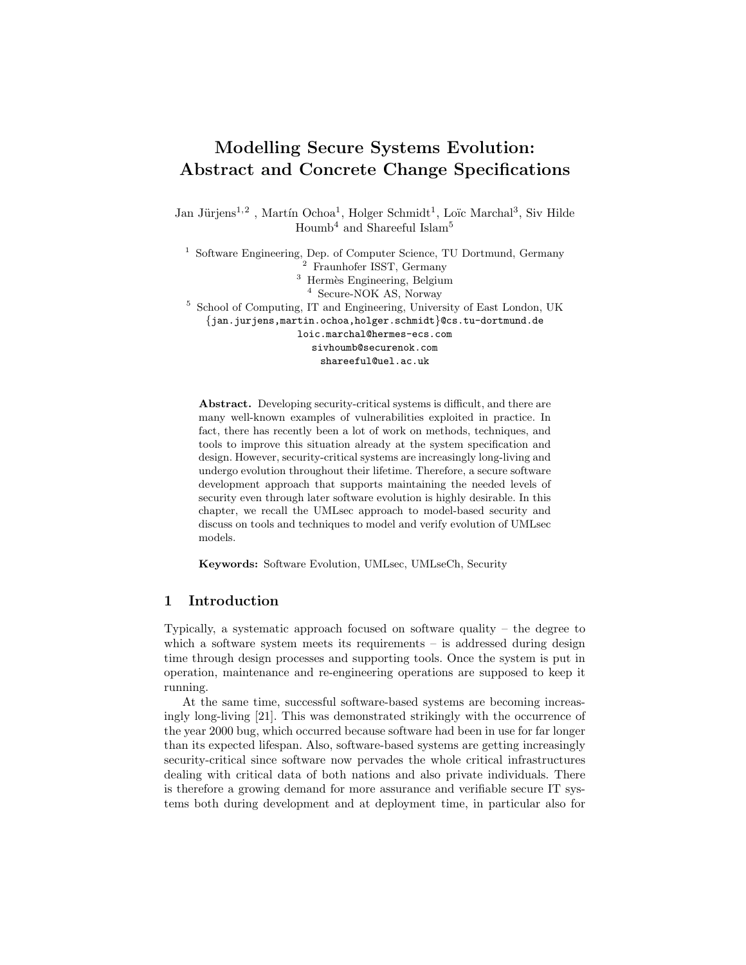# Modelling Secure Systems Evolution: Abstract and Concrete Change Specifications

Jan Jürjens<sup>1,2</sup>, Martín Ochoa<sup>1</sup>, Holger Schmidt<sup>1</sup>, Loïc Marchal<sup>3</sup>, Siv Hilde Houmb<sup>4</sup> and Shareeful Islam<sup>5</sup>

<sup>1</sup> Software Engineering, Dep. of Computer Science, TU Dortmund, Germany <sup>2</sup> Fraunhofer ISST, Germany  $3$  Hermès Engineering, Belgium <sup>4</sup> Secure-NOK AS, Norway <sup>5</sup> School of Computing, IT and Engineering, University of East London, UK {jan.jurjens,martin.ochoa,holger.schmidt}@cs.tu-dortmund.de loic.marchal@hermes-ecs.com sivhoumb@securenok.com

shareeful@uel.ac.uk

Abstract. Developing security-critical systems is difficult, and there are many well-known examples of vulnerabilities exploited in practice. In fact, there has recently been a lot of work on methods, techniques, and tools to improve this situation already at the system specification and design. However, security-critical systems are increasingly long-living and undergo evolution throughout their lifetime. Therefore, a secure software development approach that supports maintaining the needed levels of security even through later software evolution is highly desirable. In this chapter, we recall the UMLsec approach to model-based security and discuss on tools and techniques to model and verify evolution of UMLsec models.

Keywords: Software Evolution, UMLsec, UMLseCh, Security

# 1 Introduction

Typically, a systematic approach focused on software quality – the degree to which a software system meets its requirements  $-$  is addressed during design time through design processes and supporting tools. Once the system is put in operation, maintenance and re-engineering operations are supposed to keep it running.

At the same time, successful software-based systems are becoming increasingly long-living [21]. This was demonstrated strikingly with the occurrence of the year 2000 bug, which occurred because software had been in use for far longer than its expected lifespan. Also, software-based systems are getting increasingly security-critical since software now pervades the whole critical infrastructures dealing with critical data of both nations and also private individuals. There is therefore a growing demand for more assurance and verifiable secure IT systems both during development and at deployment time, in particular also for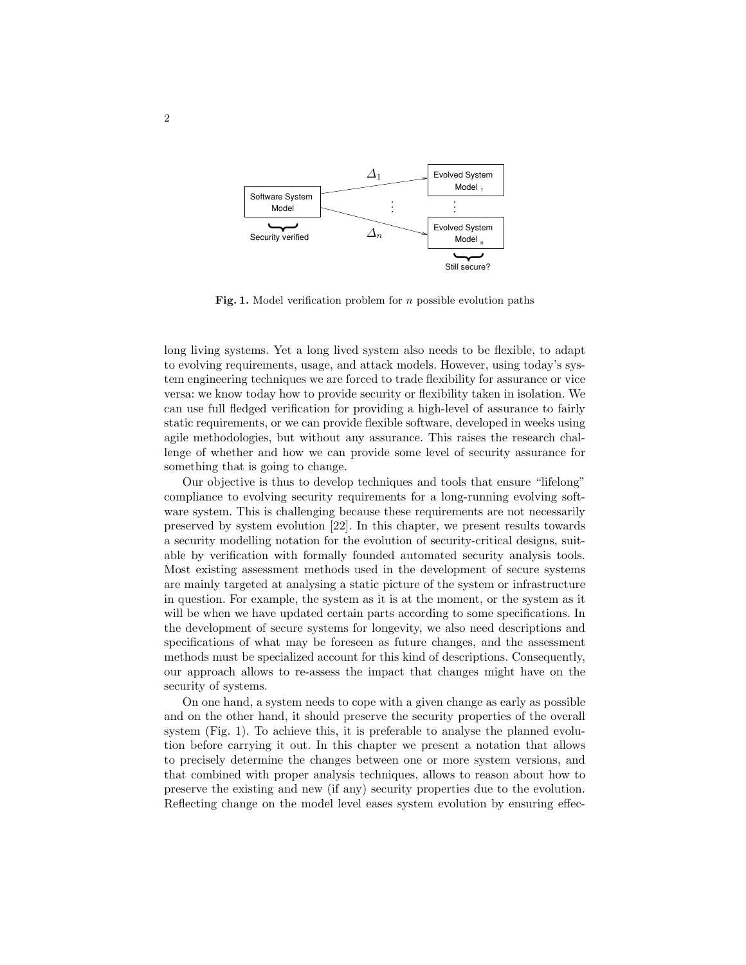

Fig. 1. Model verification problem for  $n$  possible evolution paths

long living systems. Yet a long lived system also needs to be flexible, to adapt to evolving requirements, usage, and attack models. However, using today's system engineering techniques we are forced to trade flexibility for assurance or vice versa: we know today how to provide security or flexibility taken in isolation. We can use full fledged verification for providing a high-level of assurance to fairly static requirements, or we can provide flexible software, developed in weeks using agile methodologies, but without any assurance. This raises the research challenge of whether and how we can provide some level of security assurance for something that is going to change.

Our objective is thus to develop techniques and tools that ensure "lifelong" compliance to evolving security requirements for a long-running evolving software system. This is challenging because these requirements are not necessarily preserved by system evolution [22]. In this chapter, we present results towards a security modelling notation for the evolution of security-critical designs, suitable by verification with formally founded automated security analysis tools. Most existing assessment methods used in the development of secure systems are mainly targeted at analysing a static picture of the system or infrastructure in question. For example, the system as it is at the moment, or the system as it In question. For enample, the system as it is at the moment, or the system as it the development of secure systems for longevity, we also need descriptions and specifications of what may be foreseen as future changes, and the assessment sign of the UMLS energy of the UMLS of the UMLSec. The UMLSECH and the UMLSECH DIRECTION models made be specialized account for this limit of decorporate consequently our approach allows to re-assess the impact that changes might have on the sequency of systems. security of systems.

On one hand, a system needs to cope with a given change as early as possible for the analysis). The umum sense the UMLS experience in the sense that a sense that a sense that any complete in the sense that any complete in the sense that any kind of  $\alpha$  is complete in the sense that any kind of  $\alpha$ and on the other hand, it should preserve the security properties of the overall system (Fig. 1). To achieve this, it is preferable to analyse the planned evolution before carrying it out. In this chapter we present a notation that allows to precisely determine the changes between one or more system versions, and that combined with proper analysis techniques, allows to reason about how to preserve the existing and new (if any) security properties due to the evolution. Reflecting change on the model level eases system evolution by ensuring effec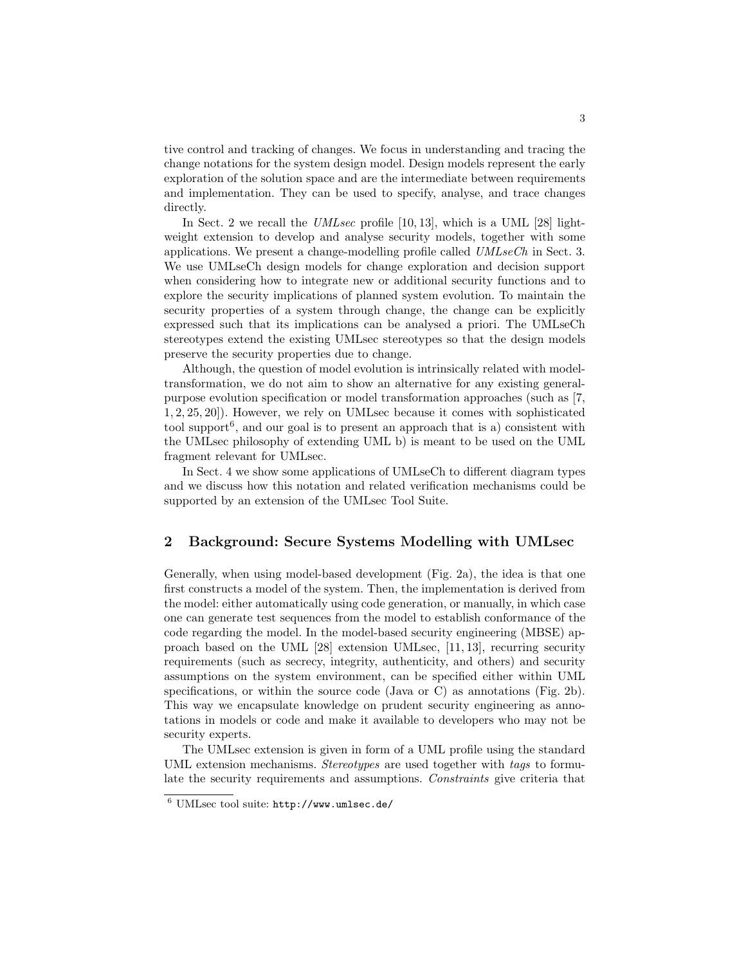tive control and tracking of changes. We focus in understanding and tracing the change notations for the system design model. Design models represent the early exploration of the solution space and are the intermediate between requirements and implementation. They can be used to specify, analyse, and trace changes directly.

In Sect. 2 we recall the *UMLsec* profile [10, 13], which is a UML [28] lightweight extension to develop and analyse security models, together with some applications. We present a change-modelling profile called UMLseCh in Sect. 3. We use UMLseCh design models for change exploration and decision support when considering how to integrate new or additional security functions and to explore the security implications of planned system evolution. To maintain the security properties of a system through change, the change can be explicitly expressed such that its implications can be analysed a priori. The UMLseCh stereotypes extend the existing UMLsec stereotypes so that the design models preserve the security properties due to change.

Although, the question of model evolution is intrinsically related with modeltransformation, we do not aim to show an alternative for any existing generalpurpose evolution specification or model transformation approaches (such as [7, 1, 2, 25, 20]). However, we rely on UMLsec because it comes with sophisticated tool support<sup>6</sup>, and our goal is to present an approach that is a) consistent with the UMLsec philosophy of extending UML b) is meant to be used on the UML fragment relevant for UMLsec.

In Sect. 4 we show some applications of UMLseCh to different diagram types and we discuss how this notation and related verification mechanisms could be supported by an extension of the UMLsec Tool Suite.

# 2 Background: Secure Systems Modelling with UMLsec

Generally, when using model-based development (Fig. 2a), the idea is that one first constructs a model of the system. Then, the implementation is derived from the model: either automatically using code generation, or manually, in which case one can generate test sequences from the model to establish conformance of the code regarding the model. In the model-based security engineering (MBSE) approach based on the UML [28] extension UMLsec, [11, 13], recurring security requirements (such as secrecy, integrity, authenticity, and others) and security assumptions on the system environment, can be specified either within UML specifications, or within the source code (Java or C) as annotations (Fig. 2b). This way we encapsulate knowledge on prudent security engineering as annotations in models or code and make it available to developers who may not be security experts.

The UMLsec extension is given in form of a UML profile using the standard UML extension mechanisms. Stereotypes are used together with tags to formulate the security requirements and assumptions. Constraints give criteria that

<sup>6</sup> UMLsec tool suite: http://www.umlsec.de/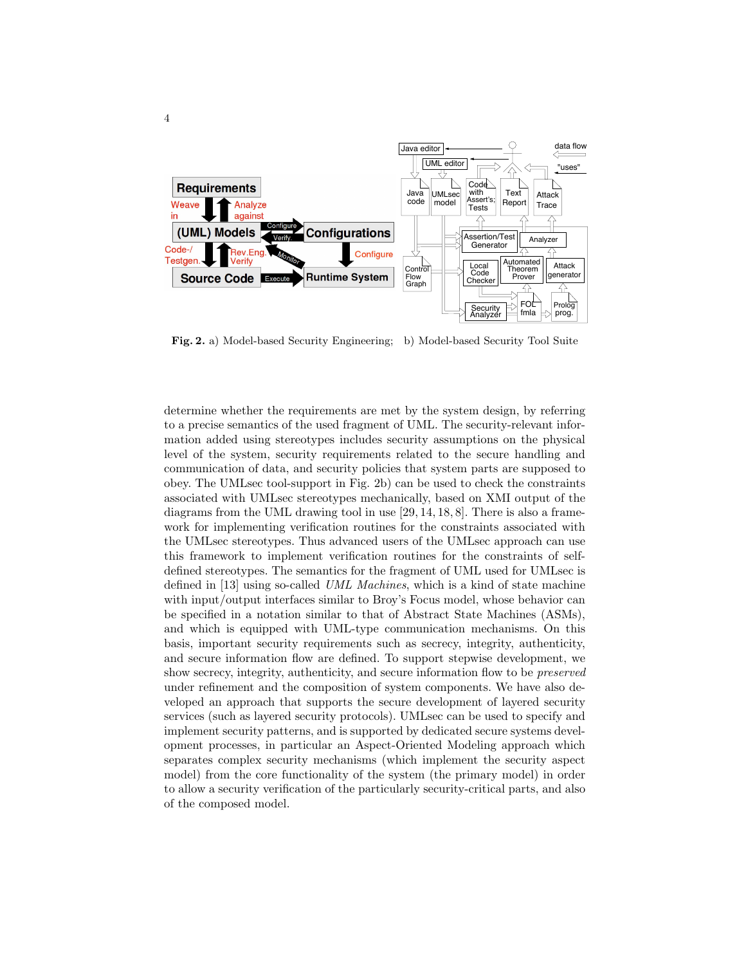

4

Fig. 2. a) Model-based Security Engineering; b) Model-based Security Tool Suite

determine whether the requirements are met by the system design, by referring to a precise semantics of the used fragment of UML. The security-relevant information added using stereotypes includes security assumptions on the physical level of the system, security requirements related to the secure handling and communication of data, and security policies that system parts are supposed to obey. The UMLsec tool-support in Fig. 2b) can be used to check the constraints associated with UMLsec stereotypes mechanically, based on XMI output of the diagrams from the UML drawing tool in use [29, 14, 18, 8]. There is also a framework for implementing verification routines for the constraints associated with the UMLsec stereotypes. Thus advanced users of the UMLsec approach can use this framework to implement verification routines for the constraints of selfdefined stereotypes. The semantics for the fragment of UML used for UMLsec is defined in [13] using so-called *UML Machines*, which is a kind of state machine with input/output interfaces similar to Broy's Focus model, whose behavior can be specified in a notation similar to that of Abstract State Machines (ASMs), and which is equipped with UML-type communication mechanisms. On this basis, important security requirements such as secrecy, integrity, authenticity, and secure information flow are defined. To support stepwise development, we show secrecy, integrity, authenticity, and secure information flow to be preserved under refinement and the composition of system components. We have also developed an approach that supports the secure development of layered security services (such as layered security protocols). UMLsec can be used to specify and implement security patterns, and is supported by dedicated secure systems development processes, in particular an Aspect-Oriented Modeling approach which separates complex security mechanisms (which implement the security aspect model) from the core functionality of the system (the primary model) in order to allow a security verification of the particularly security-critical parts, and also of the composed model.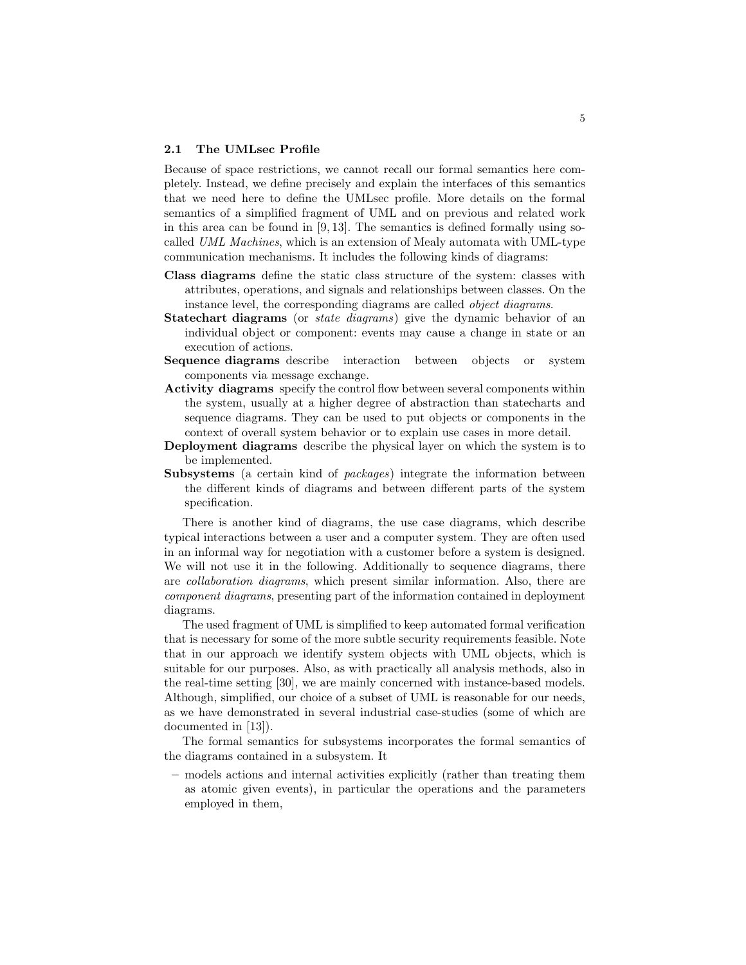#### 2.1 The UMLsec Profile

Because of space restrictions, we cannot recall our formal semantics here completely. Instead, we define precisely and explain the interfaces of this semantics that we need here to define the UMLsec profile. More details on the formal semantics of a simplified fragment of UML and on previous and related work in this area can be found in [9, 13]. The semantics is defined formally using socalled UML Machines, which is an extension of Mealy automata with UML-type communication mechanisms. It includes the following kinds of diagrams:

- Class diagrams define the static class structure of the system: classes with attributes, operations, and signals and relationships between classes. On the instance level, the corresponding diagrams are called object diagrams.
- **Statechart diagrams** (or *state diagrams*) give the dynamic behavior of an individual object or component: events may cause a change in state or an execution of actions.
- Sequence diagrams describe interaction between objects or system components via message exchange.
- Activity diagrams specify the control flow between several components within the system, usually at a higher degree of abstraction than statecharts and sequence diagrams. They can be used to put objects or components in the context of overall system behavior or to explain use cases in more detail.
- Deployment diagrams describe the physical layer on which the system is to be implemented.
- Subsystems (a certain kind of packages) integrate the information between the different kinds of diagrams and between different parts of the system specification.

There is another kind of diagrams, the use case diagrams, which describe typical interactions between a user and a computer system. They are often used in an informal way for negotiation with a customer before a system is designed. We will not use it in the following. Additionally to sequence diagrams, there are collaboration diagrams, which present similar information. Also, there are component diagrams, presenting part of the information contained in deployment diagrams.

The used fragment of UML is simplified to keep automated formal verification that is necessary for some of the more subtle security requirements feasible. Note that in our approach we identify system objects with UML objects, which is suitable for our purposes. Also, as with practically all analysis methods, also in the real-time setting [30], we are mainly concerned with instance-based models. Although, simplified, our choice of a subset of UML is reasonable for our needs, as we have demonstrated in several industrial case-studies (some of which are documented in [13]).

The formal semantics for subsystems incorporates the formal semantics of the diagrams contained in a subsystem. It

– models actions and internal activities explicitly (rather than treating them as atomic given events), in particular the operations and the parameters employed in them,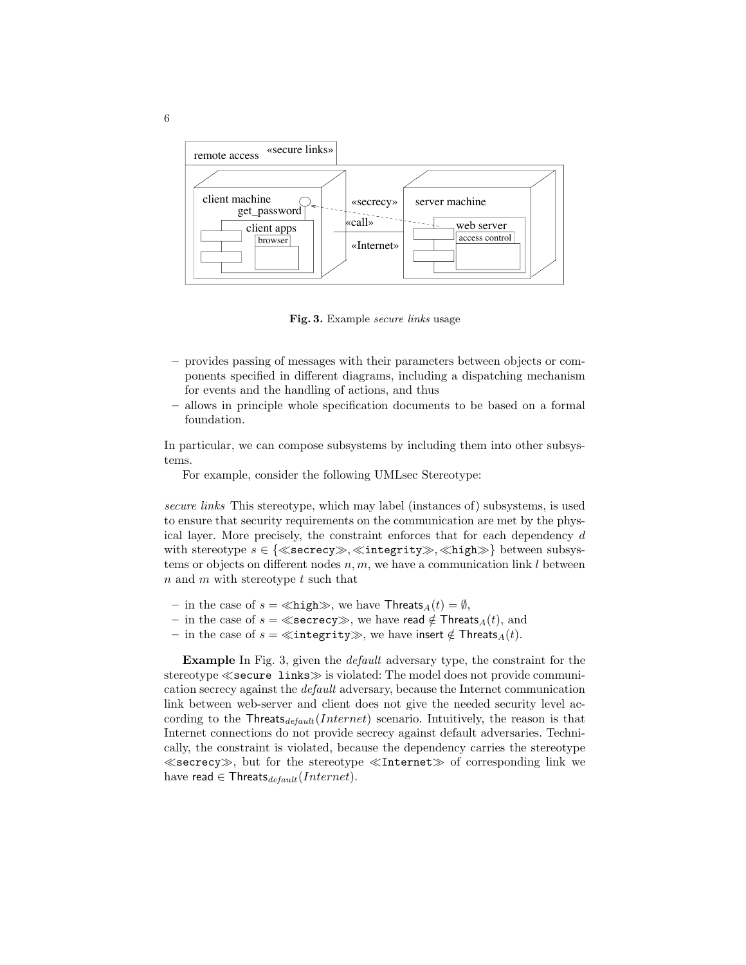

Fig. 3. Example secure links usage

- provides passing of messages with their parameters between objects or components specified in different diagrams, including a dispatching mechanism for events and the handling of actions, and thus
- allows in principle whole specification documents to be based on a formal foundation.

In particular, we can compose subsystems by including them into other subsystems.

For example, consider the following UMLsec Stereotype:

secure links This stereotype, which may label (instances of) subsystems, is used to ensure that security requirements on the communication are met by the physical layer. More precisely, the constraint enforces that for each dependency d with stereotype  $s \in \{\ll \texttt{secrecy} \gg, \ll \texttt{integrity} \gg, \ll \texttt{high} \gg\}$  between subsystems or objects on different nodes  $n, m$ , we have a communication link l between  $n$  and  $m$  with stereotype  $t$  such that

- in the case of  $s = \text{ we have Threats $_A(t) = \emptyset$ ,$
- in the case of  $s = \ll$ secrecy≫, we have read  $\notin$  Threats<sub>A</sub>(t), and
- in the case of  $s =$  ≪integrity≫, we have insert  $\notin$  Threats<sub>A</sub>(t).

Example In Fig. 3, given the default adversary type, the constraint for the stereotype  $\ll$  secure links  $\gg$  is violated: The model does not provide communication secrecy against the default adversary, because the Internet communication link between web-server and client does not give the needed security level according to the Threats $_{default}(Internet)$  scenario. Intuitively, the reason is that Internet connections do not provide secrecy against default adversaries. Technically, the constraint is violated, because the dependency carries the stereotype  $\ll$ secrecy $\gg$ , but for the stereotype  $\ll$ Internet $\gg$  of corresponding link we have read  $\in$  Threats  $_{default}(Internet)$ .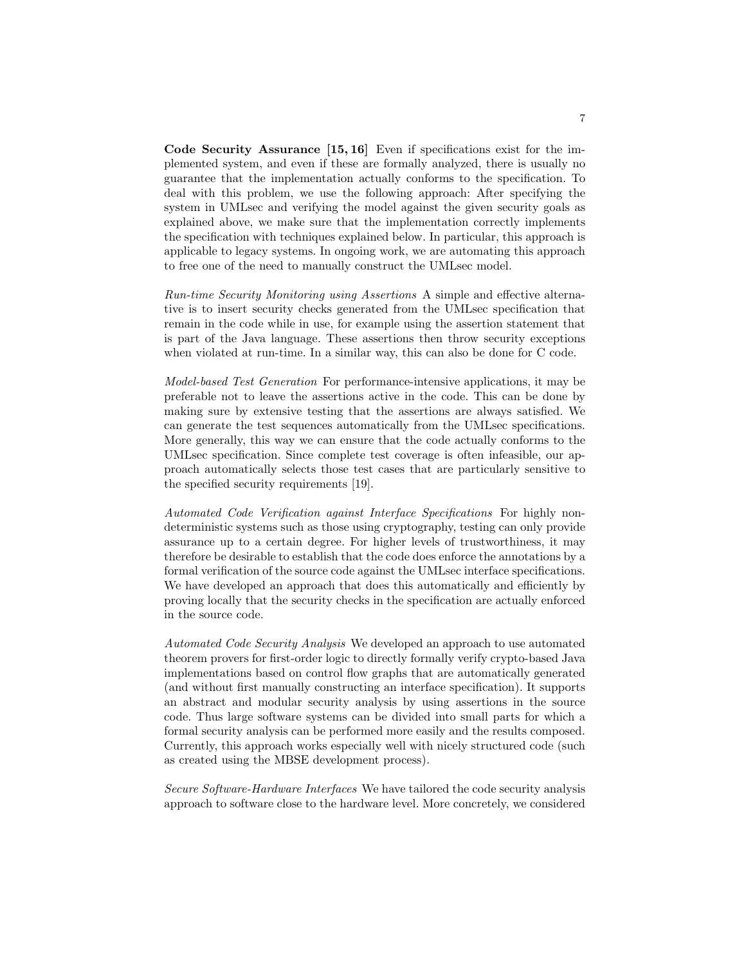Code Security Assurance [15, 16] Even if specifications exist for the implemented system, and even if these are formally analyzed, there is usually no guarantee that the implementation actually conforms to the specification. To deal with this problem, we use the following approach: After specifying the system in UMLsec and verifying the model against the given security goals as explained above, we make sure that the implementation correctly implements the specification with techniques explained below. In particular, this approach is applicable to legacy systems. In ongoing work, we are automating this approach to free one of the need to manually construct the UMLsec model.

Run-time Security Monitoring using Assertions A simple and effective alternative is to insert security checks generated from the UMLsec specification that remain in the code while in use, for example using the assertion statement that is part of the Java language. These assertions then throw security exceptions when violated at run-time. In a similar way, this can also be done for C code.

Model-based Test Generation For performance-intensive applications, it may be preferable not to leave the assertions active in the code. This can be done by making sure by extensive testing that the assertions are always satisfied. We can generate the test sequences automatically from the UMLsec specifications. More generally, this way we can ensure that the code actually conforms to the UMLsec specification. Since complete test coverage is often infeasible, our approach automatically selects those test cases that are particularly sensitive to the specified security requirements [19].

Automated Code Verification against Interface Specifications For highly nondeterministic systems such as those using cryptography, testing can only provide assurance up to a certain degree. For higher levels of trustworthiness, it may therefore be desirable to establish that the code does enforce the annotations by a formal verification of the source code against the UMLsec interface specifications. We have developed an approach that does this automatically and efficiently by proving locally that the security checks in the specification are actually enforced in the source code.

Automated Code Security Analysis We developed an approach to use automated theorem provers for first-order logic to directly formally verify crypto-based Java implementations based on control flow graphs that are automatically generated (and without first manually constructing an interface specification). It supports an abstract and modular security analysis by using assertions in the source code. Thus large software systems can be divided into small parts for which a formal security analysis can be performed more easily and the results composed. Currently, this approach works especially well with nicely structured code (such as created using the MBSE development process).

Secure Software-Hardware Interfaces We have tailored the code security analysis approach to software close to the hardware level. More concretely, we considered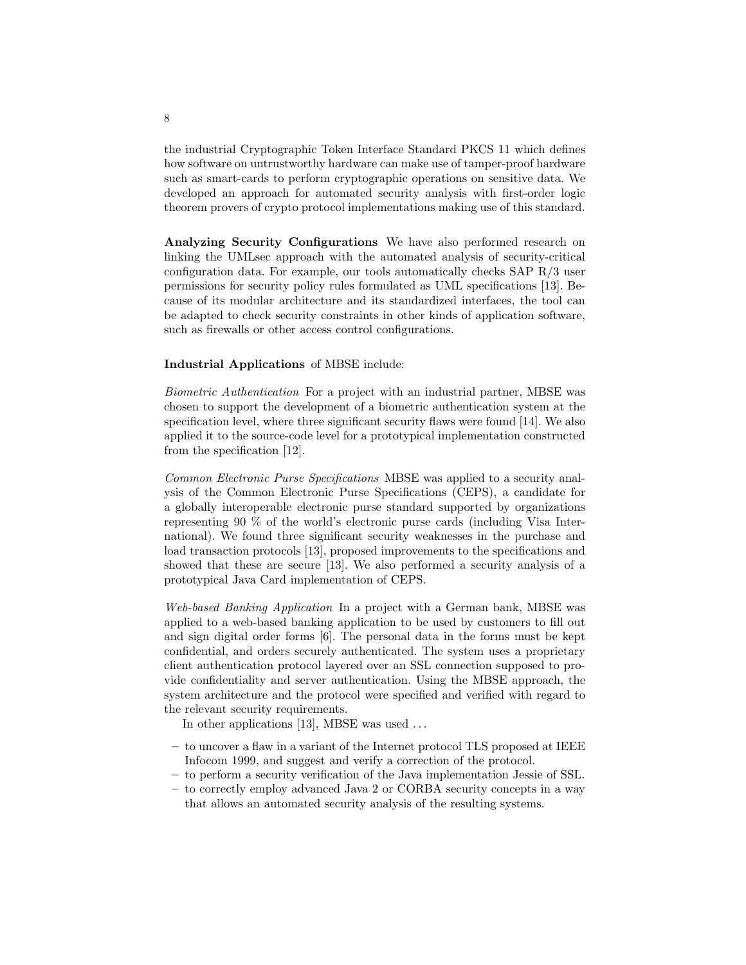the industrial Cryptographic Token Interface Standard PKCS 11 which defines how software on untrustworthy hardware can make use of tamper-proof hardware such as smart-cards to perform cryptographic operations on sensitive data. We developed an approach for automated security analysis with first-order logic theorem provers of crypto protocol implementations making use of this standard.

Analyzing Security Configurations We have also performed research on linking the UMLsec approach with the automated analysis of security-critical configuration data. For example, our tools automatically checks SAP R/3 user permissions for security policy rules formulated as UML specifications [13]. Because of its modular architecture and its standardized interfaces, the tool can be adapted to check security constraints in other kinds of application software, such as firewalls or other access control configurations.

#### Industrial Applications of MBSE include:

Biometric Authentication For a project with an industrial partner, MBSE was chosen to support the development of a biometric authentication system at the specification level, where three significant security flaws were found [14]. We also applied it to the source-code level for a prototypical implementation constructed from the specification [12].

Common Electronic Purse Specifications MBSE was applied to a security analysis of the Common Electronic Purse Specifications (CEPS), a candidate for a globally interoperable electronic purse standard supported by organizations representing 90 % of the world's electronic purse cards (including Visa International). We found three significant security weaknesses in the purchase and load transaction protocols [13], proposed improvements to the specifications and showed that these are secure [13]. We also performed a security analysis of a prototypical Java Card implementation of CEPS.

Web-based Banking Application In a project with a German bank, MBSE was applied to a web-based banking application to be used by customers to fill out and sign digital order forms [6]. The personal data in the forms must be kept confidential, and orders securely authenticated. The system uses a proprietary client authentication protocol layered over an SSL connection supposed to provide confidentiality and server authentication. Using the MBSE approach, the system architecture and the protocol were specified and verified with regard to the relevant security requirements.

In other applications [13], MBSE was used ...

- to uncover a flaw in a variant of the Internet protocol TLS proposed at IEEE Infocom 1999, and suggest and verify a correction of the protocol.
- to perform a security verification of the Java implementation Jessie of SSL.
- to correctly employ advanced Java 2 or CORBA security concepts in a way that allows an automated security analysis of the resulting systems.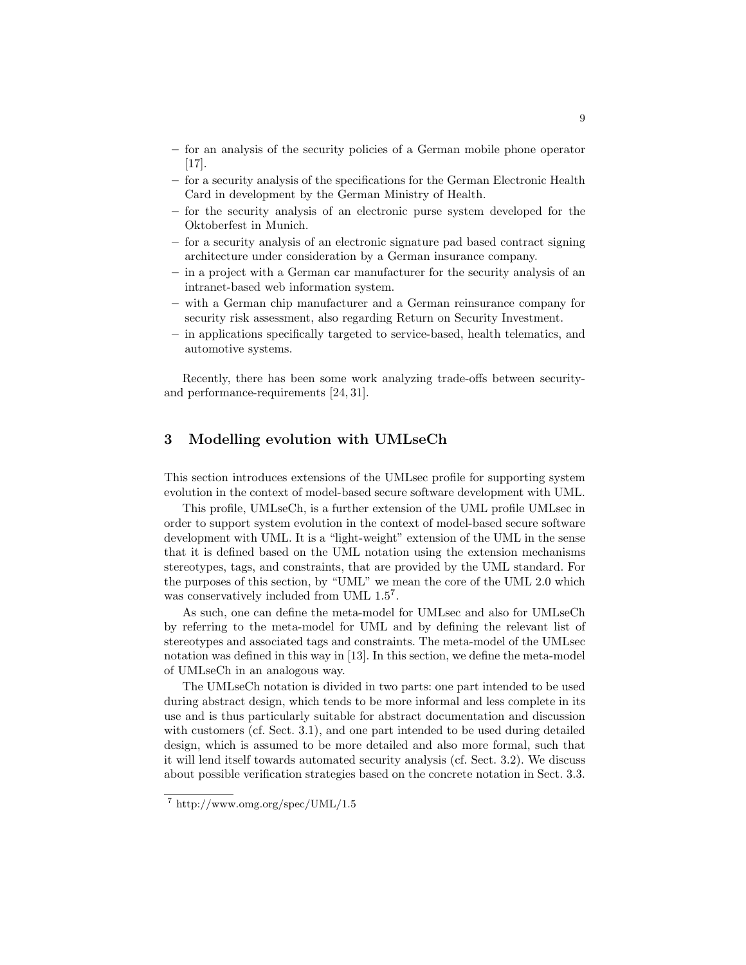- for an analysis of the security policies of a German mobile phone operator [17].
- for a security analysis of the specifications for the German Electronic Health Card in development by the German Ministry of Health.
- for the security analysis of an electronic purse system developed for the Oktoberfest in Munich.
- for a security analysis of an electronic signature pad based contract signing architecture under consideration by a German insurance company.
- in a project with a German car manufacturer for the security analysis of an intranet-based web information system.
- with a German chip manufacturer and a German reinsurance company for security risk assessment, also regarding Return on Security Investment.
- in applications specifically targeted to service-based, health telematics, and automotive systems.

Recently, there has been some work analyzing trade-offs between securityand performance-requirements [24, 31].

# 3 Modelling evolution with UMLseCh

This section introduces extensions of the UMLsec profile for supporting system evolution in the context of model-based secure software development with UML.

This profile, UMLseCh, is a further extension of the UML profile UMLsec in order to support system evolution in the context of model-based secure software development with UML. It is a "light-weight" extension of the UML in the sense that it is defined based on the UML notation using the extension mechanisms stereotypes, tags, and constraints, that are provided by the UML standard. For the purposes of this section, by "UML" we mean the core of the UML 2.0 which was conservatively included from UML  $1.5<sup>7</sup>$ .

As such, one can define the meta-model for UMLsec and also for UMLseCh by referring to the meta-model for UML and by defining the relevant list of stereotypes and associated tags and constraints. The meta-model of the UMLsec notation was defined in this way in [13]. In this section, we define the meta-model of UMLseCh in an analogous way.

The UMLseCh notation is divided in two parts: one part intended to be used during abstract design, which tends to be more informal and less complete in its use and is thus particularly suitable for abstract documentation and discussion with customers (cf. Sect. 3.1), and one part intended to be used during detailed design, which is assumed to be more detailed and also more formal, such that it will lend itself towards automated security analysis (cf. Sect. 3.2). We discuss about possible verification strategies based on the concrete notation in Sect. 3.3.

<sup>7</sup> http://www.omg.org/spec/UML/1.5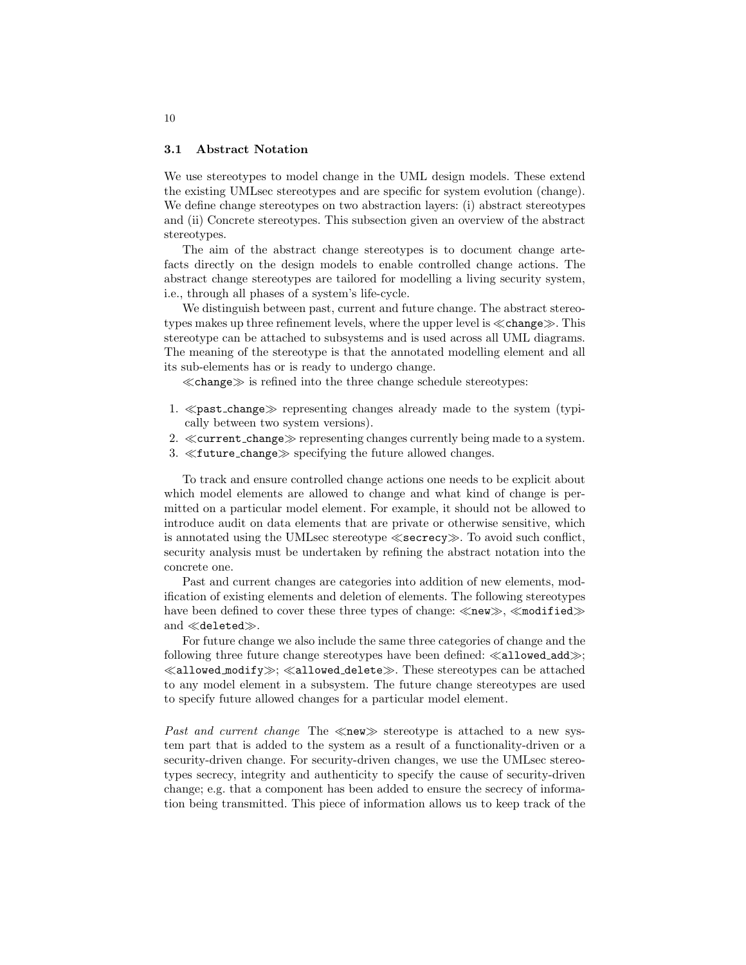#### 3.1 Abstract Notation

We use stereotypes to model change in the UML design models. These extend the existing UMLsec stereotypes and are specific for system evolution (change). We define change stereotypes on two abstraction layers: (i) abstract stereotypes and (ii) Concrete stereotypes. This subsection given an overview of the abstract stereotypes.

The aim of the abstract change stereotypes is to document change artefacts directly on the design models to enable controlled change actions. The abstract change stereotypes are tailored for modelling a living security system, i.e., through all phases of a system's life-cycle.

We distinguish between past, current and future change. The abstract stereotypes makes up three refinement levels, where the upper level is  $\ll$  change. stereotype can be attached to subsystems and is used across all UML diagrams. The meaning of the stereotype is that the annotated modelling element and all its sub-elements has or is ready to undergo change.

 $\ll$ change $\gg$  is refined into the three change schedule stereotypes:

- 1.  $\ll$  past change  $\gg$  representing changes already made to the system (typically between two system versions).
- 2.  $\ll$  current change  $\gg$  representing changes currently being made to a system.
- 3.  $\ll$  future change  $\gg$  specifying the future allowed changes.

To track and ensure controlled change actions one needs to be explicit about which model elements are allowed to change and what kind of change is permitted on a particular model element. For example, it should not be allowed to introduce audit on data elements that are private or otherwise sensitive, which is annotated using the UMLsec stereotype  $\ll$ **secrecy** $\gg$ . To avoid such conflict, security analysis must be undertaken by refining the abstract notation into the concrete one.

Past and current changes are categories into addition of new elements, modification of existing elements and deletion of elements. The following stereotypes have been defined to cover these three types of change:  $\langle new \rangle$ ,  $\langle modified \rangle$ and  $\ll$  deleted $\gg$ .

For future change we also include the same three categories of change and the following three future change stereotypes have been defined:  $\ll$  allowed add $\gg$ ;  $\ll$ allowed modify $\gg$ ;  $\ll$ allowed delete $\gg$ . These stereotypes can be attached to any model element in a subsystem. The future change stereotypes are used to specify future allowed changes for a particular model element.

Past and current change The  $\langle \text{new} \rangle$  stereotype is attached to a new system part that is added to the system as a result of a functionality-driven or a security-driven change. For security-driven changes, we use the UMLsec stereotypes secrecy, integrity and authenticity to specify the cause of security-driven change; e.g. that a component has been added to ensure the secrecy of information being transmitted. This piece of information allows us to keep track of the

10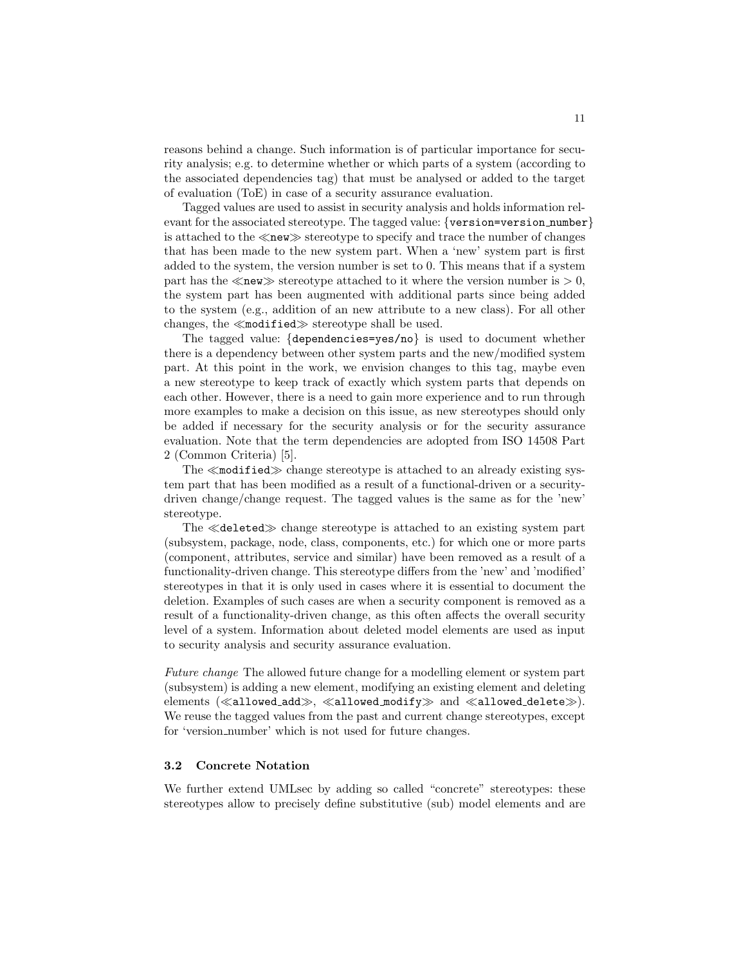reasons behind a change. Such information is of particular importance for security analysis; e.g. to determine whether or which parts of a system (according to the associated dependencies tag) that must be analysed or added to the target of evaluation (ToE) in case of a security assurance evaluation.

Tagged values are used to assist in security analysis and holds information relevant for the associated stereotype. The tagged value: {version=version number} is attached to the  $\langle \text{new} \rangle$  stereotype to specify and trace the number of changes that has been made to the new system part. When a 'new' system part is first added to the system, the version number is set to 0. This means that if a system part has the  $\langle \text{new} \rangle$  stereotype attached to it where the version number is  $> 0$ , the system part has been augmented with additional parts since being added to the system (e.g., addition of an new attribute to a new class). For all other changes, the  $\ll$ modified  $\gg$  stereotype shall be used.

The tagged value: {dependencies=yes/no} is used to document whether there is a dependency between other system parts and the new/modified system part. At this point in the work, we envision changes to this tag, maybe even a new stereotype to keep track of exactly which system parts that depends on each other. However, there is a need to gain more experience and to run through more examples to make a decision on this issue, as new stereotypes should only be added if necessary for the security analysis or for the security assurance evaluation. Note that the term dependencies are adopted from ISO 14508 Part 2 (Common Criteria) [5].

The  $\ll$ modified  $\gg$  change stereotype is attached to an already existing system part that has been modified as a result of a functional-driven or a securitydriven change/change request. The tagged values is the same as for the 'new' stereotype.

The  $\ll$  deleted  $\gg$  change stereotype is attached to an existing system part (subsystem, package, node, class, components, etc.) for which one or more parts (component, attributes, service and similar) have been removed as a result of a functionality-driven change. This stereotype differs from the 'new' and 'modified' stereotypes in that it is only used in cases where it is essential to document the deletion. Examples of such cases are when a security component is removed as a result of a functionality-driven change, as this often affects the overall security level of a system. Information about deleted model elements are used as input to security analysis and security assurance evaluation.

Future change The allowed future change for a modelling element or system part (subsystem) is adding a new element, modifying an existing element and deleting elements  $(\ll\text{allowed\_add}\ll)$ ,  $\ll\text{allowed\_modified}$  and  $\ll\text{allowed\_delete}\ll$ ). We reuse the tagged values from the past and current change stereotypes, except for 'version number' which is not used for future changes.

#### 3.2 Concrete Notation

We further extend UMLsec by adding so called "concrete" stereotypes: these stereotypes allow to precisely define substitutive (sub) model elements and are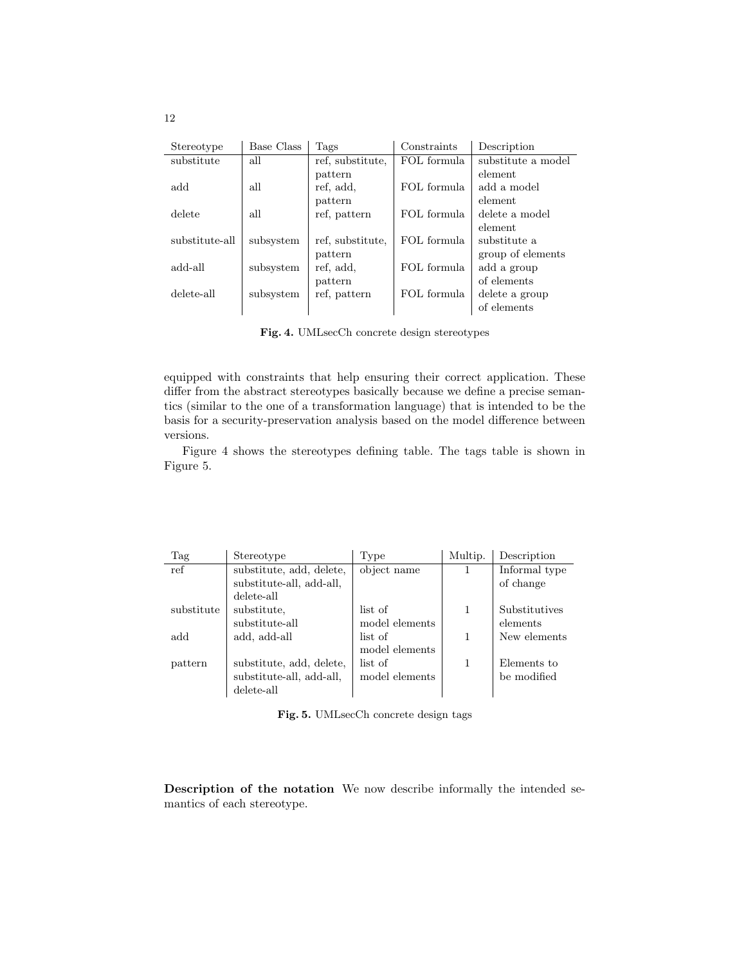| Stereotype     | Base Class | Tags             | Constraints | Description        |
|----------------|------------|------------------|-------------|--------------------|
| substitute     | all        | ref, substitute. | FOL formula | substitute a model |
|                |            | pattern          |             | element            |
| add            | all        | ref, add,        | FOL formula | add a model        |
|                |            | pattern          |             | element            |
| delete         | all        | ref, pattern     | FOL formula | delete a model     |
|                |            |                  |             | element            |
| substitute-all | subsystem  | ref, substitute, | FOL formula | substitute a       |
|                |            | pattern          |             | group of elements  |
| add-all        | subsystem  | ref, add,        | FOL formula | add a group        |
|                |            | pattern          |             | of elements        |
| delete-all     | subsystem  | ref, pattern     | FOL formula | delete a group     |
|                |            |                  |             | of elements        |

Fig. 4. UMLsecCh concrete design stereotypes

equipped with constraints that help ensuring their correct application. These differ from the abstract stereotypes basically because we define a precise semantics (similar to the one of a transformation language) that is intended to be the basis for a security-preservation analysis based on the model difference between versions.

Figure 4 shows the stereotypes defining table. The tags table is shown in Figure 5.

| Description   |
|---------------|
| Informal type |
| of change     |
|               |
| Substitutives |
| elements      |
| New elements  |
|               |
| Elements to   |
| be modified   |
|               |
|               |

Fig. 5. UMLsecCh concrete design tags

Description of the notation We now describe informally the intended semantics of each stereotype.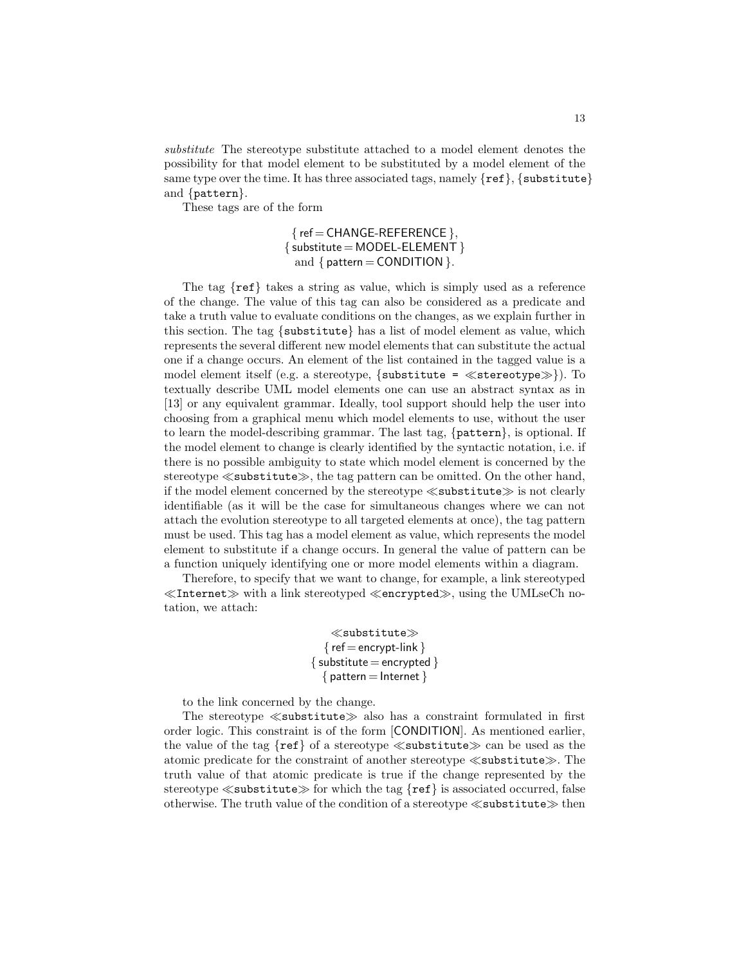substitute The stereotype substitute attached to a model element denotes the possibility for that model element to be substituted by a model element of the same type over the time. It has three associated tags, namely  $\{ref\}$ ,  $\{substitute\}$ and {pattern}.

These tags are of the form

 ${ref = CHANGE-REFERENCE},$  $\{$  substitute = MODEL-ELEMENT  $\}$ and  $\{$  pattern = CONDITION  $\}$ .

The tag {ref} takes a string as value, which is simply used as a reference of the change. The value of this tag can also be considered as a predicate and take a truth value to evaluate conditions on the changes, as we explain further in this section. The tag {substitute} has a list of model element as value, which represents the several different new model elements that can substitute the actual one if a change occurs. An element of the list contained in the tagged value is a model element itself (e.g. a stereotype, {substitute =  $\ll$ stereotype $\gg$ }). To textually describe UML model elements one can use an abstract syntax as in [13] or any equivalent grammar. Ideally, tool support should help the user into choosing from a graphical menu which model elements to use, without the user to learn the model-describing grammar. The last tag, {pattern}, is optional. If the model element to change is clearly identified by the syntactic notation, i.e. if there is no possible ambiguity to state which model element is concerned by the stereotype  $\ll$  substitute $\gg$ , the tag pattern can be omitted. On the other hand, if the model element concerned by the stereotype  $\ll$ substitute $\gg$  is not clearly identifiable (as it will be the case for simultaneous changes where we can not attach the evolution stereotype to all targeted elements at once), the tag pattern must be used. This tag has a model element as value, which represents the model element to substitute if a change occurs. In general the value of pattern can be a function uniquely identifying one or more model elements within a diagram.

Therefore, to specify that we want to change, for example, a link stereotyped  $\ll$ Internet $\gg$  with a link stereotyped  $\ll$ encrypted $\gg$ , using the UMLseCh notation, we attach:

> $\ll$ substitute $\gg$  $\{ ref = encrypt-link \}$  $\{$  substitute = encrypted  $\}$  $\{$  pattern = Internet  $\}$

to the link concerned by the change.

The stereotype  $\ll$ substitute  $\gg$  also has a constraint formulated in first order logic. This constraint is of the form [CONDITION]. As mentioned earlier, the value of the tag  $\{ref\}$  of a stereotype  $\ll$ substitute $\gg$  can be used as the atomic predicate for the constraint of another stereotype  $\ll$  substitute $\gg$ . The truth value of that atomic predicate is true if the change represented by the stereotype  $\ll$  substitute  $\gg$  for which the tag {ref} is associated occurred, false otherwise. The truth value of the condition of a stereotype  $\ll$  substitute  $\gg$  then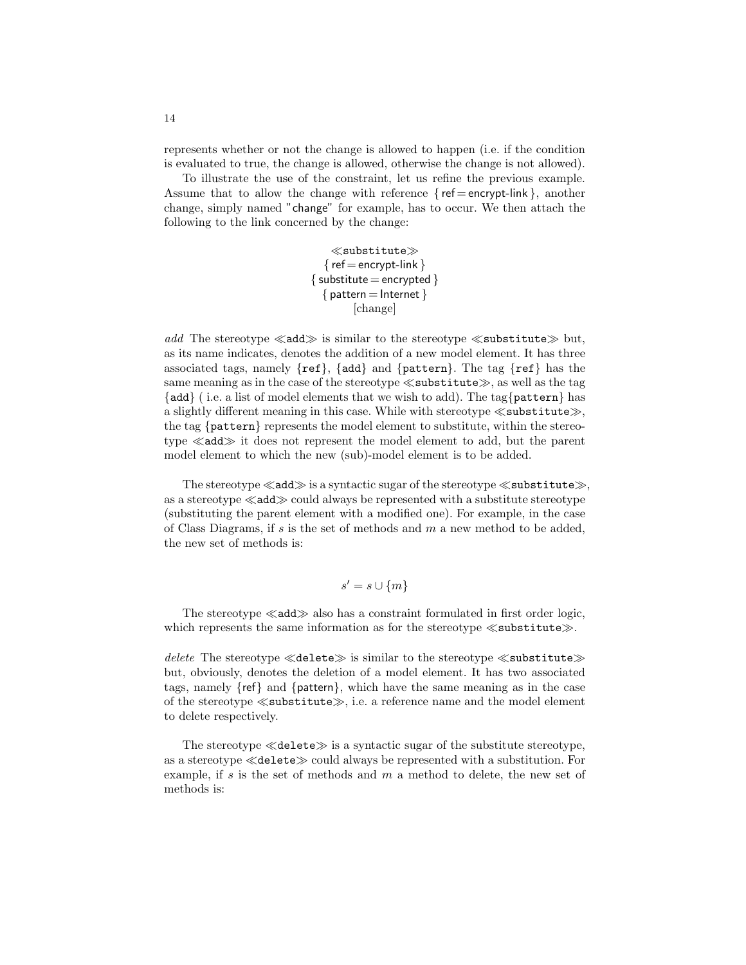represents whether or not the change is allowed to happen (i.e. if the condition is evaluated to true, the change is allowed, otherwise the change is not allowed).

To illustrate the use of the constraint, let us refine the previous example. Assume that to allow the change with reference  $\{ref = encrypt-link\}$ , another change, simply named "change" for example, has to occur. We then attach the following to the link concerned by the change:

> $\ll$ substitute $\gg$  $\{ ref = encrypt-link \}$  $\{$  substitute = encrypted  $\}$  $\{$  pattern = Internet  $\}$ [change]

add The stereotype  $\ll$  add  $\gg$  is similar to the stereotype  $\ll$  substitute  $\gg$  but, as its name indicates, denotes the addition of a new model element. It has three associated tags, namely  $\{ref\}$ ,  $\{add\}$  and  $\{pattern\}$ . The tag  $\{ref\}$  has the same meaning as in the case of the stereotype  $\ll$  substitute $\gg$ , as well as the tag {add} ( i.e. a list of model elements that we wish to add). The tag{pattern} has a slightly different meaning in this case. While with stereotype  $\ll$  substitute $\gg$ , the tag  $\{$  pattern $\}$  represents the model element to substitute, within the stereotype  $\ll$  add  $\gg$  it does not represent the model element to add, but the parent model element to which the new (sub)-model element is to be added.

The stereotype  $\ll$  add  $\gg$  is a syntactic sugar of the stereotype  $\ll$  substitute $\gg$ , as a stereotype  $\ll$  add  $\gg$  could always be represented with a substitute stereotype (substituting the parent element with a modified one). For example, in the case of Class Diagrams, if  $s$  is the set of methods and  $m$  a new method to be added, the new set of methods is:

$$
s' = s \cup \{m\}
$$

The stereotype  $\ll$  add  $\gg$  also has a constraint formulated in first order logic, which represents the same information as for the stereotype  $\ll$  substitute.

delete The stereotype  $\ll$  delete  $\gg$  is similar to the stereotype  $\ll$  substitute  $\gg$ but, obviously, denotes the deletion of a model element. It has two associated tags, namely  $\{ref\}$  and  $\{pattern\}$ , which have the same meaning as in the case of the stereotype  $\ll$ substitute $\gg$ , i.e. a reference name and the model element to delete respectively.

The stereotype  $\ll$  delete $\gg$  is a syntactic sugar of the substitute stereotype, as a stereotype  $\ll$  delete $\gg$  could always be represented with a substitution. For example, if s is the set of methods and  $m$  a method to delete, the new set of methods is:

14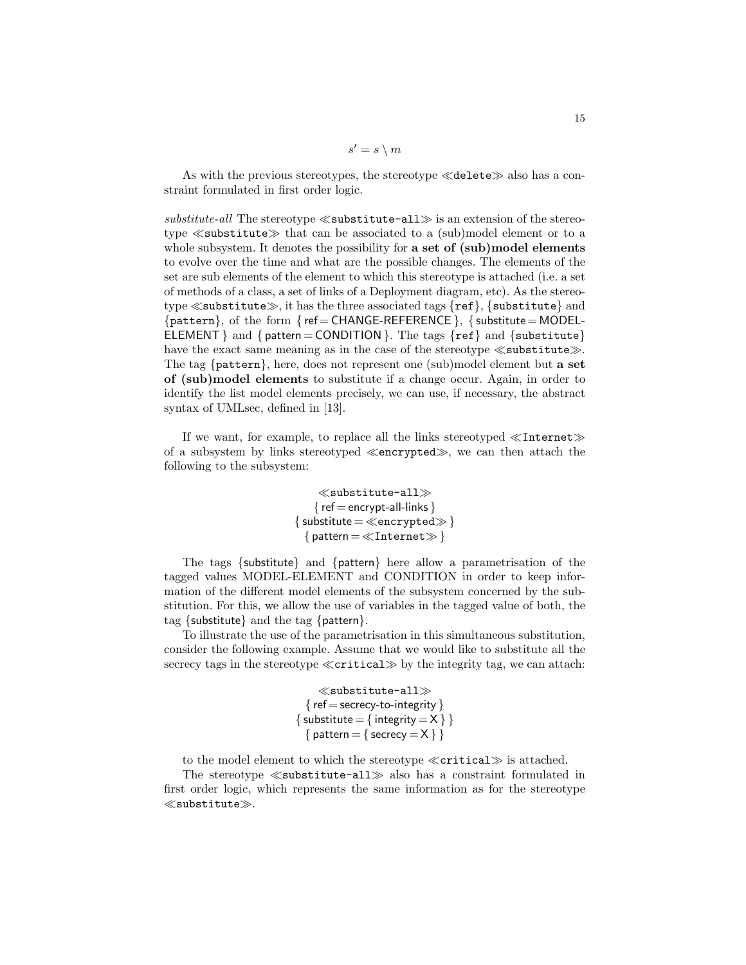$s'=s\setminus m$ 

As with the previous stereotypes, the stereotype  $\ll$  delete $\gg$  also has a constraint formulated in first order logic.

substitute-all The stereotype  $\ll$ substitute-all $\gg$  is an extension of the stereotype  $\ll$ substitute $\gg$  that can be associated to a (sub)model element or to a whole subsystem. It denotes the possibility for a set of (sub)model elements to evolve over the time and what are the possible changes. The elements of the set are sub elements of the element to which this stereotype is attached (i.e. a set of methods of a class, a set of links of a Deployment diagram, etc). As the stereotype  $\ll$ substitute $\gg$ , it has the three associated tags  $\{ref\}$ ,  $\{substitute\}$  and  $\{pattern\}$ , of the form  $\{ref = CHARGE-REFERENCE\}$ ,  $\{substitute = MODEL-$ ELEMENT } and {  $pattern = CONDITION$  }. The tags { $ref$ } and {  $substitute$ } have the exact same meaning as in the case of the stereotype  $\ll$  substitute. The tag {pattern}, here, does not represent one (sub)model element but a set of (sub)model elements to substitute if a change occur. Again, in order to identify the list model elements precisely, we can use, if necessary, the abstract syntax of UMLsec, defined in [13].

If we want, for example, to replace all the links stereotyped  $\ll$ Internet $\gg$ of a subsystem by links stereotyped  $\ll$ encrypted $\gg$ , we can then attach the following to the subsystem:

> $\ll$ substitute-all $\gg$  $\{ ref = encrypt-all-links \}$  $\{$  substitute =  $\ll$  encrypted  $\gg$   $\}$  $\{$  pattern =  $\ll$  Internet  $\gg$   $\}$

The tags {substitute} and {pattern} here allow a parametrisation of the tagged values MODEL-ELEMENT and CONDITION in order to keep information of the different model elements of the subsystem concerned by the substitution. For this, we allow the use of variables in the tagged value of both, the tag {substitute} and the tag {pattern}.

To illustrate the use of the parametrisation in this simultaneous substitution, consider the following example. Assume that we would like to substitute all the secrecy tags in the stereotype  $\ll$ critical $\gg$  by the integrity tag, we can attach:

> $\ll$ substitute-all $\gg$  $\{ ref = secrecy-to-integrity \}$  $\{$  substitute  $=$   $\{$  integrity  $=$   $X$  $\}$  $\}$  $\{$  pattern =  $\{$  secrecy =  $X$   $\}$   $\}$

to the model element to which the stereotype  $\ll$ critical $\gg$  is attached.

The stereotype  $\ll$ substitute-all $\gg$  also has a constraint formulated in first order logic, which represents the same information as for the stereotype  $\ll$ substitute $\gg$ .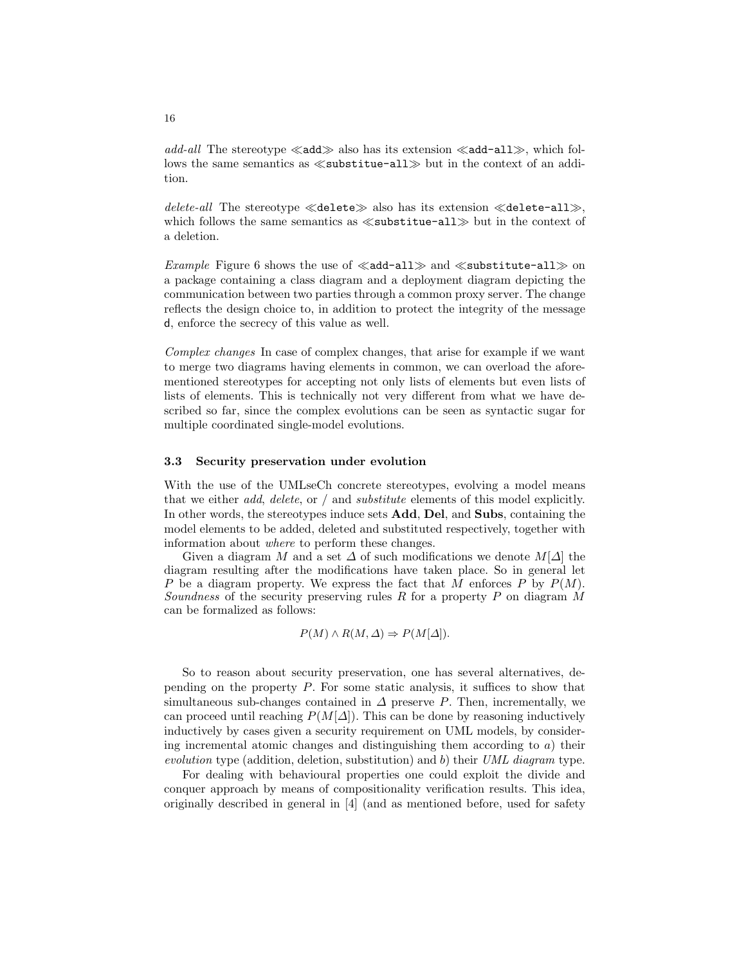add-all The stereotype  $\ll$  add  $\gg$  also has its extension  $\ll$  add-all $\gg$ , which follows the same semantics as  $\ll$ substitue-all  $\gg$  but in the context of an addition.

delete-all The stereotype  $\ll$ delete $\gg$  also has its extension  $\ll$ delete-all $\gg$ , which follows the same semantics as  $\ll$ substitue-all $\gg$  but in the context of a deletion.

*Example* Figure 6 shows the use of  $\ll$  add-all  $\gg$  and  $\ll$  substitute-all  $\gg$  on a package containing a class diagram and a deployment diagram depicting the communication between two parties through a common proxy server. The change reflects the design choice to, in addition to protect the integrity of the message d, enforce the secrecy of this value as well.

Complex changes In case of complex changes, that arise for example if we want to merge two diagrams having elements in common, we can overload the aforementioned stereotypes for accepting not only lists of elements but even lists of lists of elements. This is technically not very different from what we have described so far, since the complex evolutions can be seen as syntactic sugar for multiple coordinated single-model evolutions.

#### 3.3 Security preservation under evolution

With the use of the UMLseCh concrete stereotypes, evolving a model means that we either *add*, *delete*, or / and *substitute* elements of this model explicitly. In other words, the stereotypes induce sets Add, Del, and Subs, containing the model elements to be added, deleted and substituted respectively, together with information about where to perform these changes.

Given a diagram M and a set  $\Delta$  of such modifications we denote  $M[\Delta]$  the diagram resulting after the modifications have taken place. So in general let P be a diagram property. We express the fact that M enforces P by  $P(M)$ . Soundness of the security preserving rules R for a property P on diagram  $M$ can be formalized as follows:

$$
P(M) \wedge R(M, \Delta) \Rightarrow P(M[\Delta]).
$$

So to reason about security preservation, one has several alternatives, depending on the property  $P$ . For some static analysis, it suffices to show that simultaneous sub-changes contained in  $\Delta$  preserve P. Then, incrementally, we can proceed until reaching  $P(M[\Delta])$ . This can be done by reasoning inductively inductively by cases given a security requirement on UML models, by considering incremental atomic changes and distinguishing them according to  $a$ ) their evolution type (addition, deletion, substitution) and b) their UML diagram type.

For dealing with behavioural properties one could exploit the divide and conquer approach by means of compositionality verification results. This idea, originally described in general in [4] (and as mentioned before, used for safety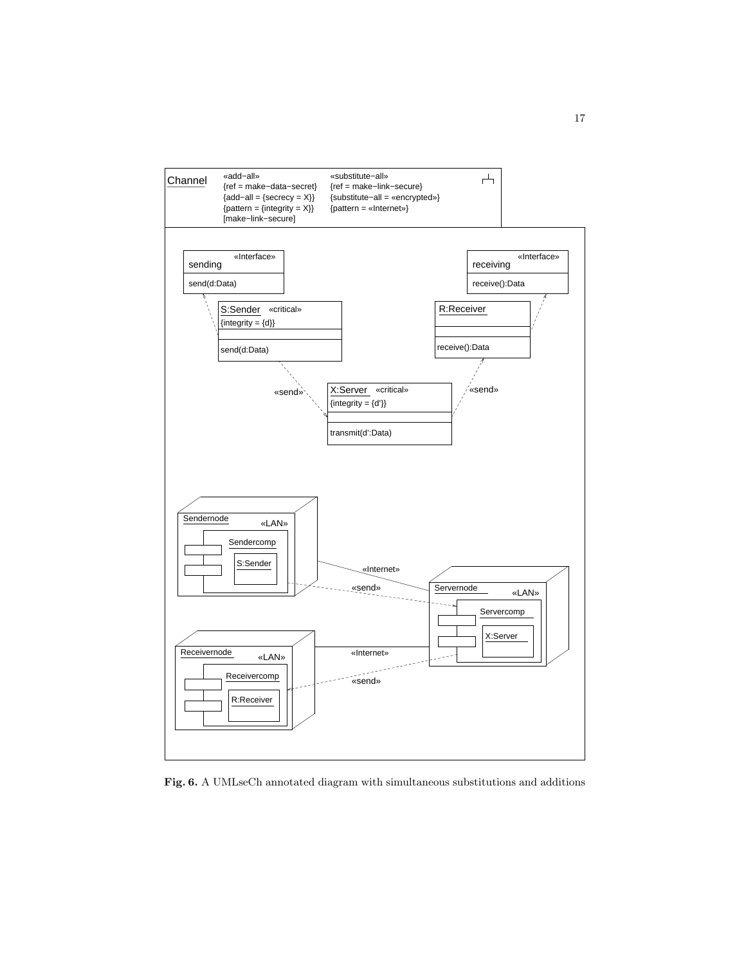

Fig. 6. A UMLseCh annotated diagram with simultaneous substitutions and additions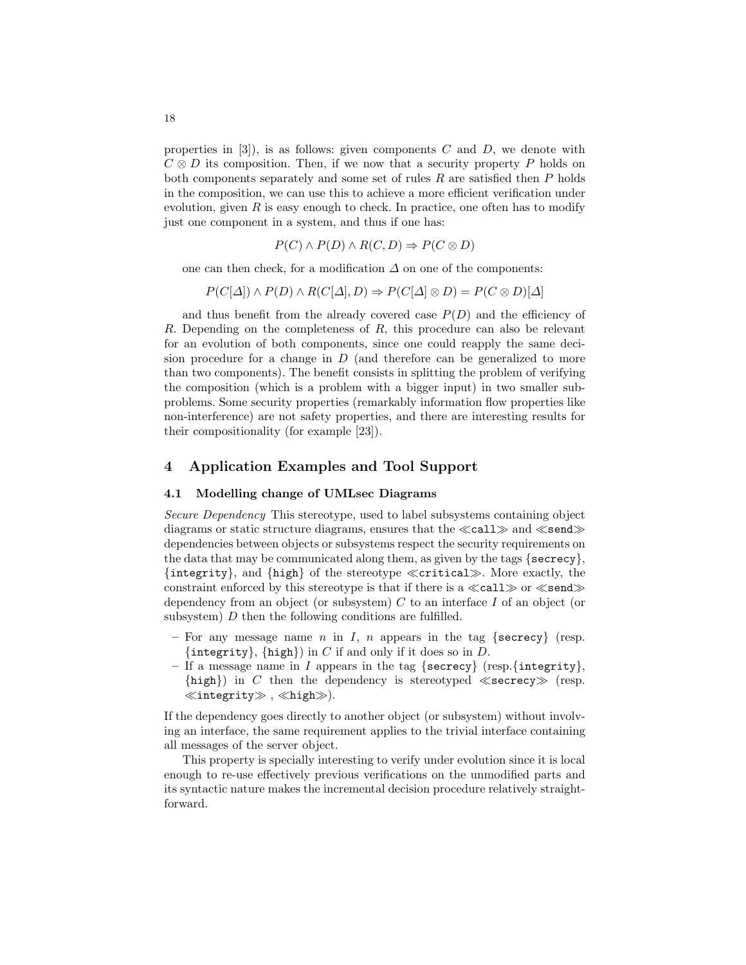properties in  $(3)$ , is as follows: given components C and D, we denote with  $C \otimes D$  its composition. Then, if we now that a security property P holds on both components separately and some set of rules  $R$  are satisfied then  $P$  holds in the composition, we can use this to achieve a more efficient verification under evolution, given  $R$  is easy enough to check. In practice, one often has to modify just one component in a system, and thus if one has:

$$
P(C) \land P(D) \land R(C, D) \Rightarrow P(C \otimes D)
$$

one can then check, for a modification  $\Delta$  on one of the components:

 $P(C[\Delta]) \wedge P(D) \wedge R(C[\Delta], D) \Rightarrow P(C[\Delta] \otimes D) = P(C \otimes D)[\Delta]$ 

and thus benefit from the already covered case  $P(D)$  and the efficiency of R. Depending on the completeness of R, this procedure can also be relevant for an evolution of both components, since one could reapply the same decision procedure for a change in  $D$  (and therefore can be generalized to more than two components). The benefit consists in splitting the problem of verifying the composition (which is a problem with a bigger input) in two smaller subproblems. Some security properties (remarkably information flow properties like non-interference) are not safety properties, and there are interesting results for their compositionality (for example [23]).

## 4 Application Examples and Tool Support

#### 4.1 Modelling change of UMLsec Diagrams

Secure Dependency This stereotype, used to label subsystems containing object diagrams or static structure diagrams, ensures that the  $\ll$  call  $\gg$  and  $\ll$  send $\gg$ dependencies between objects or subsystems respect the security requirements on the data that may be communicated along them, as given by the tags  $\{secret\}$ . {integrity}, and {high} of the stereotype  $\ll$  critical. More exactly, the constraint enforced by this stereotype is that if there is a  $\ll$  call  $\gg$  or  $\ll$  send  $\gg$ dependency from an object (or subsystem)  $C$  to an interface  $I$  of an object (or subsystem)  $D$  then the following conditions are fulfilled.

- For any message name n in I, n appears in the tag {secrecy} (resp. {integrity}, {high}) in C if and only if it does so in D.
- If a message name in I appears in the tag {secrecy} (resp.{integrity}, {high}) in C then the dependency is stereotyped  $\ll$  secrecy  $\gg$  (resp.  $\ll$ integrity $\gg$ ,  $\ll$ high $\gg$ ).

If the dependency goes directly to another object (or subsystem) without involving an interface, the same requirement applies to the trivial interface containing all messages of the server object.

This property is specially interesting to verify under evolution since it is local enough to re-use effectively previous verifications on the unmodified parts and its syntactic nature makes the incremental decision procedure relatively straightforward.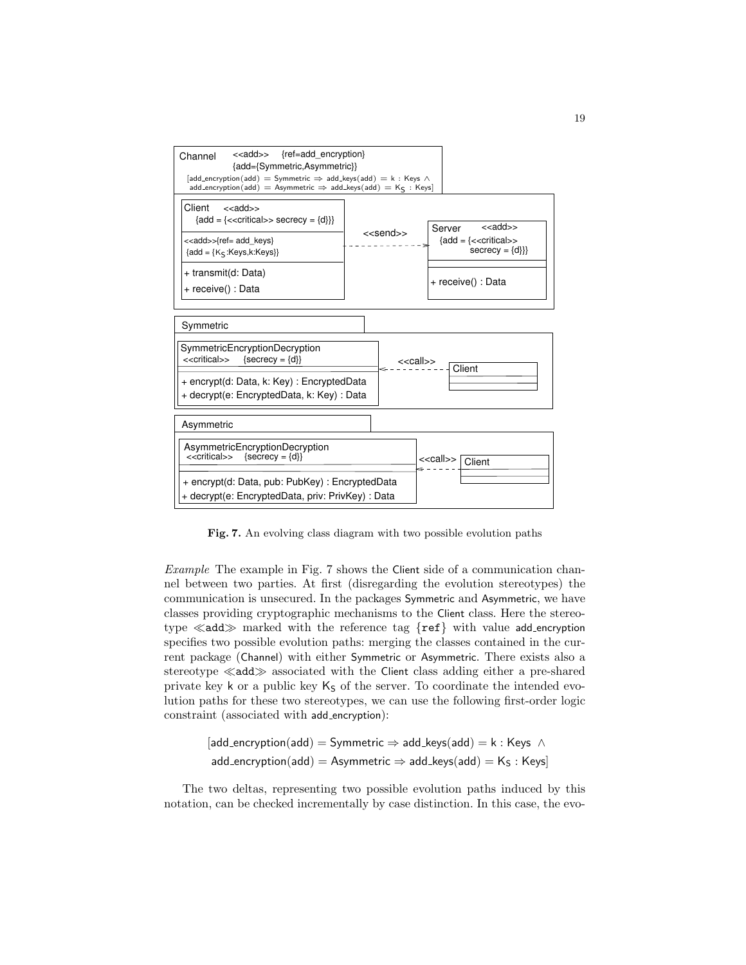

Fig. 7. An evolving class diagram with two possible evolution paths Fig. 7. An evolving class diagram with two possible evolution paths

Example The example in Fig. 7 shows the Client side of a communication channel between two parties. At first (disregarding the evolution stereotypes) the communication is unsecured. In the packages Symmetric and Asymmetric, we have the values of providing and the postal mechanisms to the chent class. There the stereo-<br>type  $\ll$  add  $\gg$  marked with the reference tag  $\{ref\}$  with value add encryption specifies two possible evolution paths: merging the classes contained in the current package (Channel) with either Symmetric or Asymmetric. There exists also a stereotype  $\ll$ add $\gg$  associated with the Client class adding either a pre-shared private key k or a public key  $K_S$  of the server. To coordinate the intended evo-<br>bution paths for these two standards we see use the following first ander logic procedure is a trade-off between the secondary procedures and the constraint (associated with add encryption): sentially, if one would require a security preservation and the complete intervals which is completely preservation in classes providing cryptographic mechanisms to the Client class. Here the stereolution paths for these two stereotypes, we can use the following first-order logic

$$
[add\_encryption(\text{add}) = Symmetric \Rightarrow \text{add\_keys}(\text{add}) = k : \text{Keys} \,\, \wedge \text{add\_encryption}(\text{add}) = \text{Asymmetric} \Rightarrow \text{add\_keys}(\text{add}) = \text{K}_\mathsf{S} : \text{Keys}]
$$

The two deltas, representing two possible evolution paths induced by this notation, can be checked incrementally by case distinction. In this case, the evoanalysis procedures were geared to efficiency in a trade-off against completeness.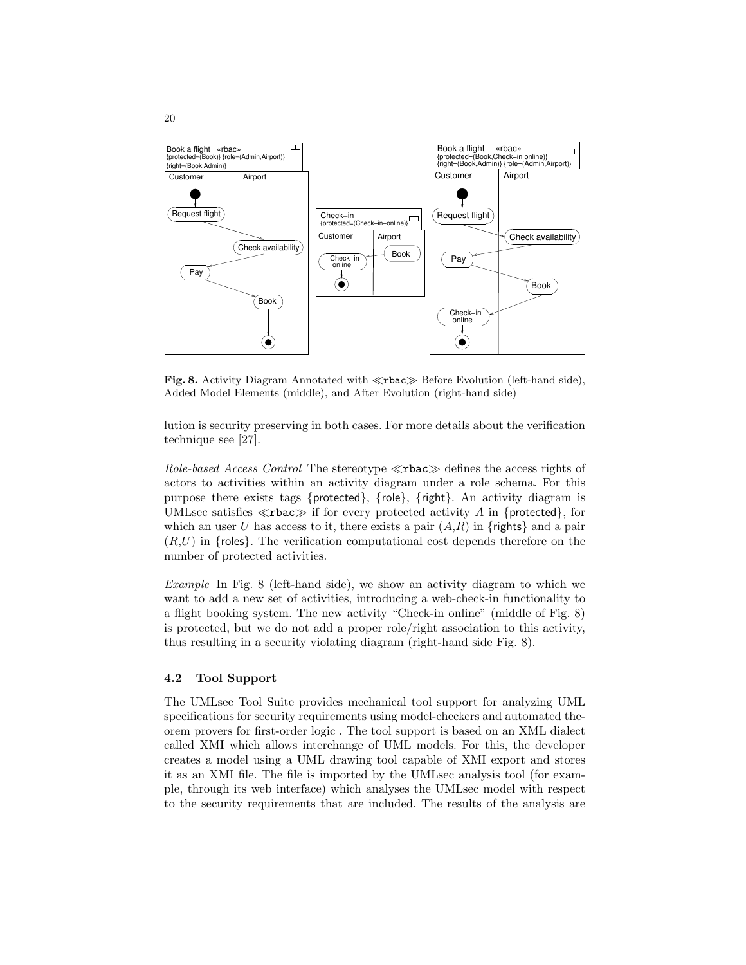

Fig. 8. Activity Diagram Annotated with  $\ll$ rbac $\gg$  Before Evolution (left-hand side), Added Model Elements (middle), and After Evolution (right-hand side)

lution is security preserving in both cases. For more details about the verification technique see [27].

Role-based Access Control The stereotype  $\ll$ rbac $\gg$  defines the access rights of actors to activities within an activity diagram under a role schema. For this purpose there exists tags { $protected$ }, { $role$ }, { $right$ }. An activity diagram is UMLsec satisfies  $\ll$ rbac $\gg$  if for every protected activity A in {protected}, for which an user U has access to it, there exists a pair  $(A,R)$  in {rights} and a pair  $(R,U)$  in {roles}. The verification computational cost depends therefore on the number of protected activities.

Example In Fig. 8 (left-hand side), we show an activity diagram to which we want to add a new set of activities, introducing a web-check-in functionality to a flight booking system. The new activity "Check-in online" (middle of Fig. 8) is protected, but we do not add a proper role/right association to this activity, thus resulting in a security violating diagram (right-hand side Fig. 8).

### 4.2 Tool Support

20

The UMLsec Tool Suite provides mechanical tool support for analyzing UML specifications for security requirements using model-checkers and automated theorem provers for first-order logic . The tool support is based on an XML dialect called XMI which allows interchange of UML models. For this, the developer creates a model using a UML drawing tool capable of XMI export and stores it as an XMI file. The file is imported by the UMLsec analysis tool (for example, through its web interface) which analyses the UMLsec model with respect to the security requirements that are included. The results of the analysis are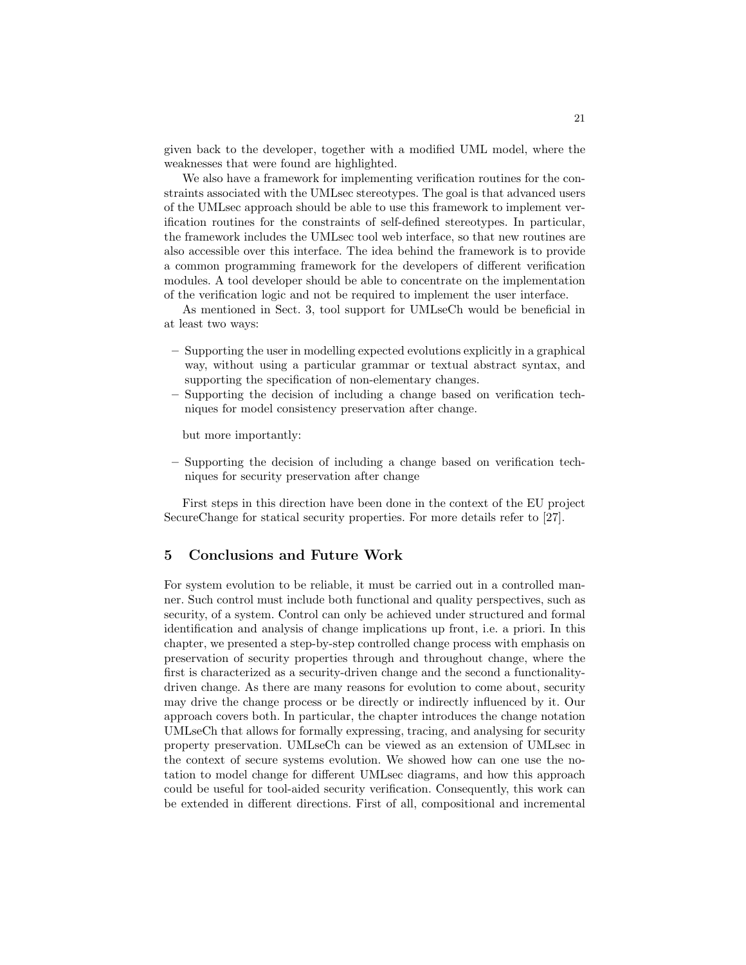given back to the developer, together with a modified UML model, where the weaknesses that were found are highlighted.

We also have a framework for implementing verification routines for the constraints associated with the UMLsec stereotypes. The goal is that advanced users of the UMLsec approach should be able to use this framework to implement verification routines for the constraints of self-defined stereotypes. In particular, the framework includes the UMLsec tool web interface, so that new routines are also accessible over this interface. The idea behind the framework is to provide a common programming framework for the developers of different verification modules. A tool developer should be able to concentrate on the implementation of the verification logic and not be required to implement the user interface.

As mentioned in Sect. 3, tool support for UMLseCh would be beneficial in at least two ways:

- Supporting the user in modelling expected evolutions explicitly in a graphical way, without using a particular grammar or textual abstract syntax, and supporting the specification of non-elementary changes.
- Supporting the decision of including a change based on verification techniques for model consistency preservation after change.

but more importantly:

– Supporting the decision of including a change based on verification techniques for security preservation after change

First steps in this direction have been done in the context of the EU project SecureChange for statical security properties. For more details refer to [27].

# 5 Conclusions and Future Work

For system evolution to be reliable, it must be carried out in a controlled manner. Such control must include both functional and quality perspectives, such as security, of a system. Control can only be achieved under structured and formal identification and analysis of change implications up front, i.e. a priori. In this chapter, we presented a step-by-step controlled change process with emphasis on preservation of security properties through and throughout change, where the first is characterized as a security-driven change and the second a functionalitydriven change. As there are many reasons for evolution to come about, security may drive the change process or be directly or indirectly influenced by it. Our approach covers both. In particular, the chapter introduces the change notation UMLseCh that allows for formally expressing, tracing, and analysing for security property preservation. UMLseCh can be viewed as an extension of UMLsec in the context of secure systems evolution. We showed how can one use the notation to model change for different UMLsec diagrams, and how this approach could be useful for tool-aided security verification. Consequently, this work can be extended in different directions. First of all, compositional and incremental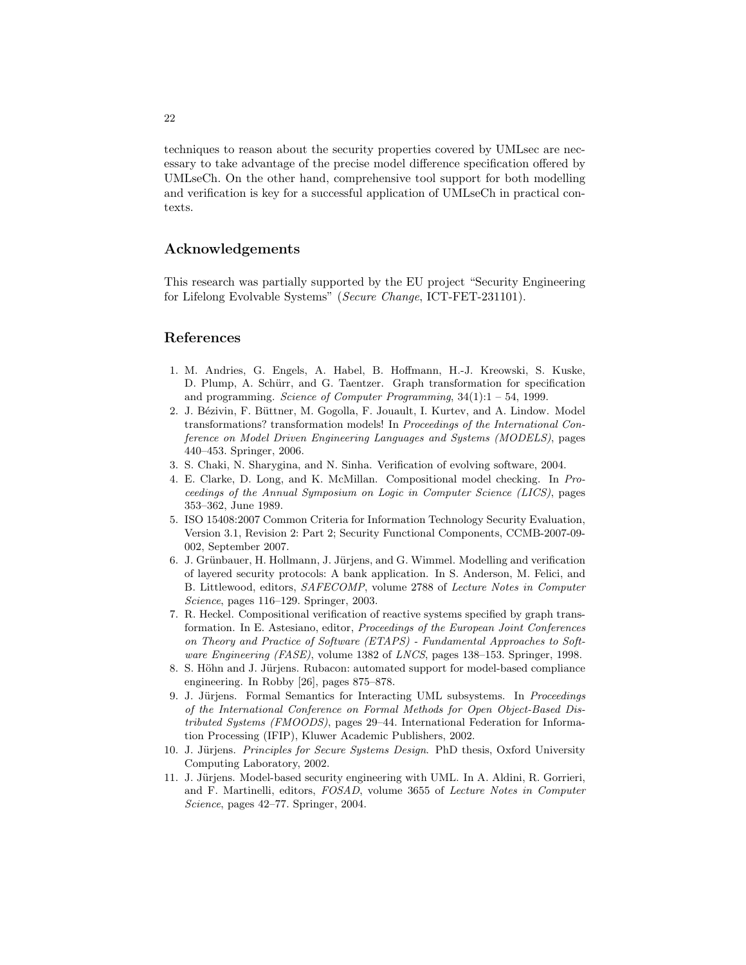techniques to reason about the security properties covered by UMLsec are necessary to take advantage of the precise model difference specification offered by UMLseCh. On the other hand, comprehensive tool support for both modelling and verification is key for a successful application of UMLseCh in practical contexts.

# Acknowledgements

This research was partially supported by the EU project "Security Engineering for Lifelong Evolvable Systems" (Secure Change, ICT-FET-231101).

# References

- 1. M. Andries, G. Engels, A. Habel, B. Hoffmann, H.-J. Kreowski, S. Kuske, D. Plump, A. Schürr, and G. Taentzer. Graph transformation for specification and programming. Science of Computer Programming,  $34(1)$ : $1 - 54$ , 1999.
- 2. J. Bézivin, F. Büttner, M. Gogolla, F. Jouault, I. Kurtev, and A. Lindow. Model transformations? transformation models! In Proceedings of the International Conference on Model Driven Engineering Languages and Systems (MODELS), pages 440–453. Springer, 2006.
- 3. S. Chaki, N. Sharygina, and N. Sinha. Verification of evolving software, 2004.
- 4. E. Clarke, D. Long, and K. McMillan. Compositional model checking. In Proceedings of the Annual Symposium on Logic in Computer Science (LICS), pages 353–362, June 1989.
- 5. ISO 15408:2007 Common Criteria for Information Technology Security Evaluation, Version 3.1, Revision 2: Part 2; Security Functional Components, CCMB-2007-09- 002, September 2007.
- 6. J. Grünbauer, H. Hollmann, J. Jürjens, and G. Wimmel. Modelling and verification of layered security protocols: A bank application. In S. Anderson, M. Felici, and B. Littlewood, editors, SAFECOMP, volume 2788 of Lecture Notes in Computer Science, pages 116–129. Springer, 2003.
- 7. R. Heckel. Compositional verification of reactive systems specified by graph transformation. In E. Astesiano, editor, Proceedings of the European Joint Conferences on Theory and Practice of Software (ETAPS) - Fundamental Approaches to Software Engineering (FASE), volume 1382 of LNCS, pages 138–153. Springer, 1998.
- 8. S. Höhn and J. Jürjens. Rubacon: automated support for model-based compliance engineering. In Robby [26], pages 875–878.
- 9. J. Jürjens. Formal Semantics for Interacting UML subsystems. In Proceedings of the International Conference on Formal Methods for Open Object-Based Distributed Systems (FMOODS), pages 29–44. International Federation for Information Processing (IFIP), Kluwer Academic Publishers, 2002.
- 10. J. Jürjens. Principles for Secure Systems Design. PhD thesis, Oxford University Computing Laboratory, 2002.
- 11. J. Jürjens. Model-based security engineering with UML. In A. Aldini, R. Gorrieri, and F. Martinelli, editors, FOSAD, volume 3655 of Lecture Notes in Computer Science, pages 42–77. Springer, 2004.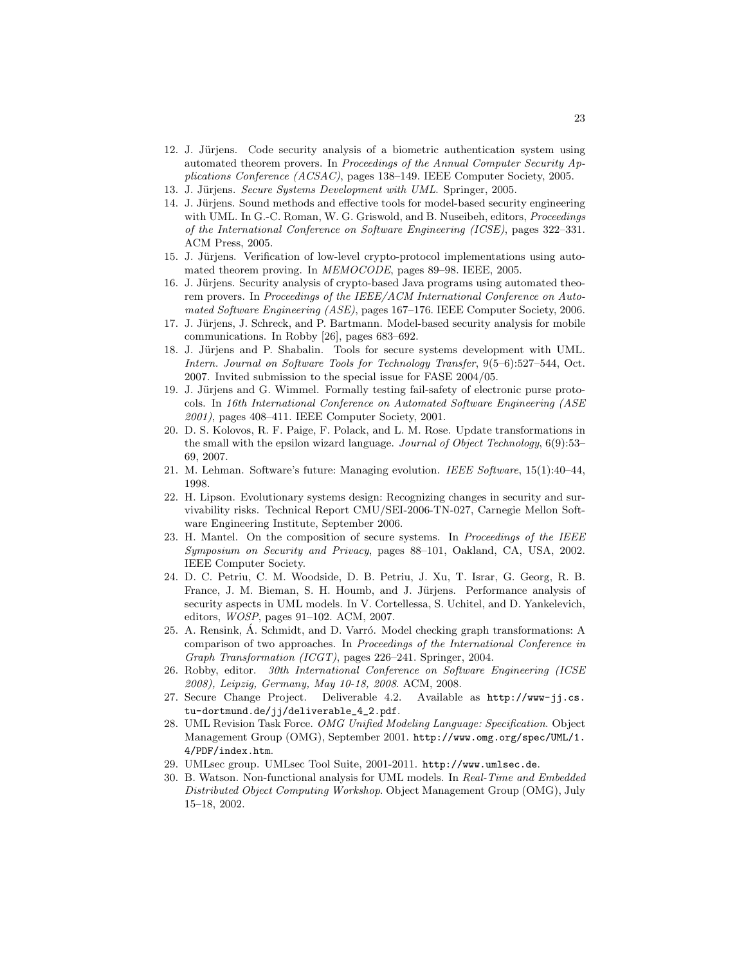- 12. J. Jürjens. Code security analysis of a biometric authentication system using automated theorem provers. In Proceedings of the Annual Computer Security Applications Conference (ACSAC), pages 138–149. IEEE Computer Society, 2005.
- 13. J. Jürjens. Secure Systems Development with UML. Springer, 2005.
- 14. J. Jürjens. Sound methods and effective tools for model-based security engineering with UML. In G.-C. Roman, W. G. Griswold, and B. Nuseibeh, editors, *Proceedings* of the International Conference on Software Engineering (ICSE), pages 322–331. ACM Press, 2005.
- 15. J. Jürjens. Verification of low-level crypto-protocol implementations using automated theorem proving. In MEMOCODE, pages 89–98. IEEE, 2005.
- 16. J. Jürjens. Security analysis of crypto-based Java programs using automated theorem provers. In Proceedings of the IEEE/ACM International Conference on Automated Software Engineering (ASE), pages 167–176. IEEE Computer Society, 2006.
- 17. J. Jürjens, J. Schreck, and P. Bartmann. Model-based security analysis for mobile communications. In Robby [26], pages 683–692.
- 18. J. Jürjens and P. Shabalin. Tools for secure systems development with UML. Intern. Journal on Software Tools for Technology Transfer, 9(5–6):527–544, Oct. 2007. Invited submission to the special issue for FASE 2004/05.
- 19. J. Jürjens and G. Wimmel. Formally testing fail-safety of electronic purse protocols. In 16th International Conference on Automated Software Engineering (ASE 2001), pages 408–411. IEEE Computer Society, 2001.
- 20. D. S. Kolovos, R. F. Paige, F. Polack, and L. M. Rose. Update transformations in the small with the epsilon wizard language. Journal of Object Technology, 6(9):53– 69, 2007.
- 21. M. Lehman. Software's future: Managing evolution. IEEE Software, 15(1):40–44, 1998.
- 22. H. Lipson. Evolutionary systems design: Recognizing changes in security and survivability risks. Technical Report CMU/SEI-2006-TN-027, Carnegie Mellon Software Engineering Institute, September 2006.
- 23. H. Mantel. On the composition of secure systems. In Proceedings of the IEEE Symposium on Security and Privacy, pages 88–101, Oakland, CA, USA, 2002. IEEE Computer Society.
- 24. D. C. Petriu, C. M. Woodside, D. B. Petriu, J. Xu, T. Israr, G. Georg, R. B. France, J. M. Bieman, S. H. Houmb, and J. Jürjens. Performance analysis of security aspects in UML models. In V. Cortellessa, S. Uchitel, and D. Yankelevich, editors, WOSP, pages 91–102. ACM, 2007.
- 25. A. Rensink, Á. Schmidt, and D. Varró. Model checking graph transformations: A comparison of two approaches. In Proceedings of the International Conference in Graph Transformation (ICGT), pages 226–241. Springer, 2004.
- 26. Robby, editor. 30th International Conference on Software Engineering (ICSE 2008), Leipzig, Germany, May 10-18, 2008. ACM, 2008.
- 27. Secure Change Project. Deliverable 4.2. Available as http://www-jj.cs. tu-dortmund.de/jj/deliverable\_4\_2.pdf.
- 28. UML Revision Task Force. OMG Unified Modeling Language: Specification. Object Management Group (OMG), September 2001. http://www.omg.org/spec/UML/1. 4/PDF/index.htm.
- 29. UMLsec group. UMLsec Tool Suite, 2001-2011. http://www.umlsec.de.
- 30. B. Watson. Non-functional analysis for UML models. In Real-Time and Embedded Distributed Object Computing Workshop. Object Management Group (OMG), July 15–18, 2002.